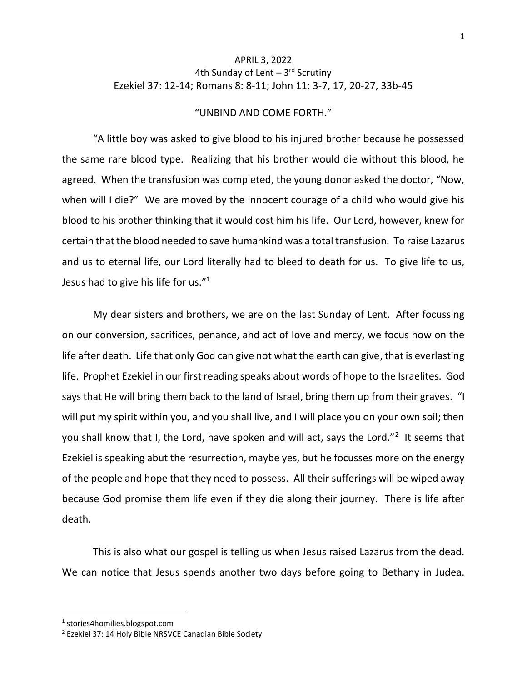## APRIL 3, 2022 4th Sunday of Lent - 3<sup>rd</sup> Scrutiny Ezekiel 37: 12-14; Romans 8: 8-11; John 11: 3-7, 17, 20-27, 33b-45

## "UNBIND AND COME FORTH."

"A little boy was asked to give blood to his injured brother because he possessed the same rare blood type. Realizing that his brother would die without this blood, he agreed. When the transfusion was completed, the young donor asked the doctor, "Now, when will I die?" We are moved by the innocent courage of a child who would give his blood to his brother thinking that it would cost him his life. Our Lord, however, knew for certain that the blood needed to save humankind was a total transfusion. To raise Lazarus and us to eternal life, our Lord literally had to bleed to death for us. To give life to us, Jesus had to give his life for us." $1$ 

My dear sisters and brothers, we are on the last Sunday of Lent. After focussing on our conversion, sacrifices, penance, and act of love and mercy, we focus now on the life after death. Life that only God can give not what the earth can give, that is everlasting life. Prophet Ezekiel in our first reading speaks about words of hope to the Israelites. God says that He will bring them back to the land of Israel, bring them up from their graves. "I will put my spirit within you, and you shall live, and I will place you on your own soil; then you shall know that I, the Lord, have spoken and will act, says the Lord."<sup>2</sup> It seems that Ezekiel is speaking abut the resurrection, maybe yes, but he focusses more on the energy of the people and hope that they need to possess. All their sufferings will be wiped away because God promise them life even if they die along their journey. There is life after death.

This is also what our gospel is telling us when Jesus raised Lazarus from the dead. We can notice that Jesus spends another two days before going to Bethany in Judea.

<sup>1</sup> stories4homilies.blogspot.com

<sup>2</sup> Ezekiel 37: 14 Holy Bible NRSVCE Canadian Bible Society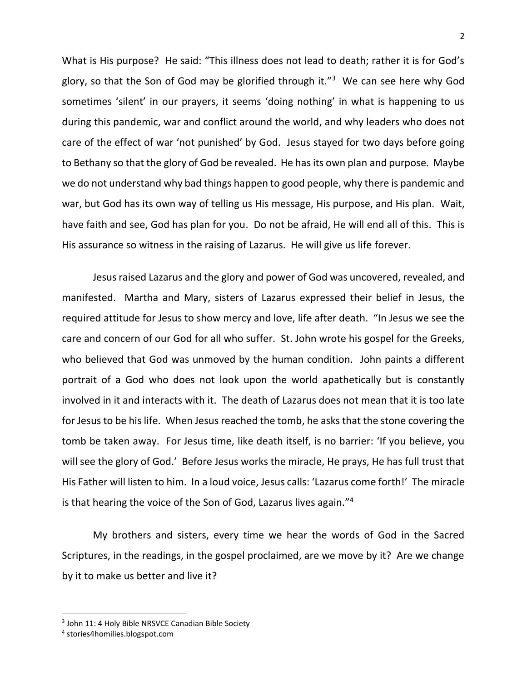What is His purpose? He said: "This illness does not lead to death; rather it is for God's glory, so that the Son of God may be glorified through it."<sup>3</sup> We can see here why God sometimes 'silent' in our prayers, it seems 'doing nothing' in what is happening to us during this pandemic, war and conflict around the world, and why leaders who does not care of the effect of war 'not punished' by God. Jesus stayed for two days before going to Bethany so that the glory of God be revealed. He has its own plan and purpose. Maybe we do not understand why bad things happen to good people, why there is pandemic and war, but God has its own way of telling us His message, His purpose, and His plan. Wait, have faith and see, God has plan for you. Do not be afraid, He will end all of this. This is His assurance so witness in the raising of Lazarus. He will give us life forever.

Jesus raised Lazarus and the glory and power of God was uncovered, revealed, and manifested. Martha and Mary, sisters of Lazarus expressed their belief in Jesus, the required attitude for Jesus to show mercy and love, life after death. "In Jesus we see the care and concern of our God for all who suffer. St. John wrote his gospel for the Greeks, who believed that God was unmoved by the human condition. John paints a different portrait of a God who does not look upon the world apathetically but is constantly involved in it and interacts with it. The death of Lazarus does not mean that it is too late for Jesus to be his life. When Jesus reached the tomb, he asks that the stone covering the tomb be taken away. For Jesus time, like death itself, is no barrier: 'If you believe, you will see the glory of God.' Before Jesus works the miracle, He prays, He has full trust that His Father will listen to him. In a loud voice, Jesus calls: 'Lazarus come forth!' The miracle is that hearing the voice of the Son of God, Lazarus lives again." 4

My brothers and sisters, every time we hear the words of God in the Sacred Scriptures, in the readings, in the gospel proclaimed, are we move by it? Are we change by it to make us better and live it?

<sup>&</sup>lt;sup>3</sup> John 11: 4 Holy Bible NRSVCE Canadian Bible Society

<sup>4</sup> stories4homilies.blogspot.com